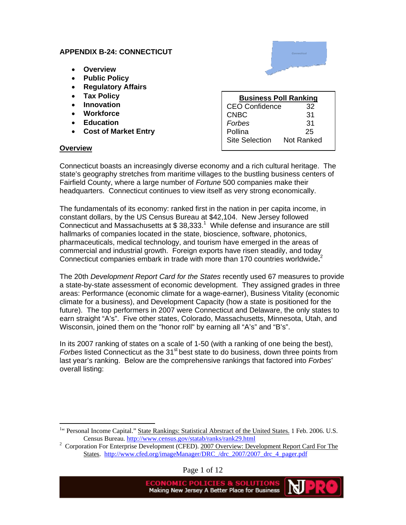#### **APPENDIX B-24: CONNECTICUT**

- **Overview**
- **Public Policy**
- **Regulatory Affairs**
- **Tax Policy**
- **Innovation**
- **Workforce**
- **Education**
- **Cost of Market Entry**

### **Overview**

 $\overline{a}$ 

| <b>Business Poll Ranking</b> |            |  |
|------------------------------|------------|--|
| <b>CEO Confidence</b>        | 32         |  |
| <b>CNBC</b>                  | 31         |  |
| Forbes                       | 31         |  |
| Pollina                      | 25         |  |
| <b>Site Selection</b>        | Not Ranked |  |

Connecticut boasts an increasingly diverse economy and a rich cultural heritage. The state's geography stretches from maritime villages to the bustling business centers of Fairfield County, where a large number of *Fortune* 500 companies make their headquarters. Connecticut continues to view itself as very strong economically.

The fundamentals of its economy: ranked first in the nation in per capita income, in constant dollars, by the US Census Bureau at \$42,104. New Jersey followed Connecticut and Massachusetts at  $$38,333<sup>1</sup>$  While defense and insurance are still hallmarks of companies located in the state, bioscience, software, photonics, pharmaceuticals, medical technology, and tourism have emerged in the areas of commercial and industrial growth. Foreign exports have risen steadily, and today Connecticut companies embark in trade with more than 170 countries worldwide**.** 2

The 20th *Development Report Card for the States* recently used 67 measures to provide a state-by-state assessment of economic development. They assigned grades in three areas: Performance (economic climate for a wage-earner), Business Vitality (economic climate for a business), and Development Capacity (how a state is positioned for the future). The top performers in 2007 were Connecticut and Delaware, the only states to earn straight "A's". Five other states, Colorado, Massachusetts, Minnesota, Utah, and Wisconsin, joined them on the "honor roll" by earning all "A's" and "B's".

In its 2007 ranking of states on a scale of 1-50 (with a ranking of one being the best), *Forbes* listed Connecticut as the 31<sup>st</sup> best state to do business, down three points from last year's ranking. Below are the comprehensive rankings that factored into *Forbes*' overall listing:

Page 1 of 12

Making New Jersey A Better Place for Business

<sup>&</sup>lt;sup>1</sup>" Personal Income Capital." State Rankings: Statistical Abrstract of the United States. 1 Feb. 2006. U.S. Census Bureau. http://www.census.gov/statab/ranks/rank29.html <sup>2</sup>

<sup>&</sup>lt;sup>2</sup> Corporation For Enterprise Development (CFED). 2007 Overview: Development Report Card For The States. http://www.cfed.org/imageManager/DRC\_/drc\_2007/2007\_drc\_4\_pager.pdf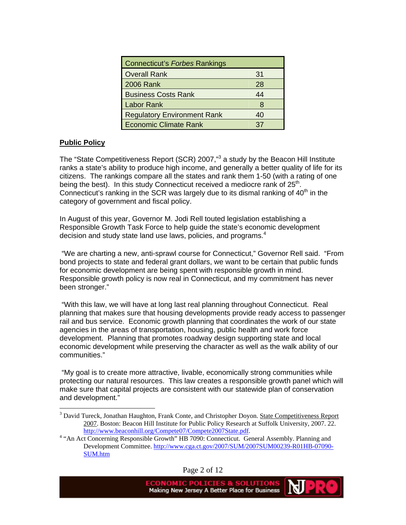| Connecticut's Forbes Rankings      |    |
|------------------------------------|----|
| <b>Overall Rank</b>                | 31 |
| <b>2006 Rank</b>                   | 28 |
| <b>Business Costs Rank</b>         | 44 |
| <b>Labor Rank</b>                  |    |
| <b>Regulatory Environment Rank</b> | 40 |
| <b>Economic Climate Rank</b>       | 37 |

### **Public Policy**

 $\overline{a}$ 

The "State Competitiveness Report (SCR) 2007,"<sup>3</sup> a study by the Beacon Hill Institute ranks a state's ability to produce high income, and generally a better quality of life for its citizens. The rankings compare all the states and rank them 1-50 (with a rating of one being the best). In this study Connecticut received a mediocre rank of  $25<sup>th</sup>$ . Connecticut's ranking in the SCR was largely due to its dismal ranking of  $40<sup>th</sup>$  in the category of government and fiscal policy.

In August of this year, Governor M. Jodi Rell touted legislation establishing a Responsible Growth Task Force to help guide the state's economic development decision and study state land use laws, policies, and programs. $4$ 

 "We are charting a new, anti-sprawl course for Connecticut," Governor Rell said. "From bond projects to state and federal grant dollars, we want to be certain that public funds for economic development are being spent with responsible growth in mind. Responsible growth policy is now real in Connecticut, and my commitment has never been stronger."

 "With this law, we will have at long last real planning throughout Connecticut. Real planning that makes sure that housing developments provide ready access to passenger rail and bus service. Economic growth planning that coordinates the work of our state agencies in the areas of transportation, housing, public health and work force development. Planning that promotes roadway design supporting state and local economic development while preserving the character as well as the walk ability of our communities."

 "My goal is to create more attractive, livable, economically strong communities while protecting our natural resources. This law creates a responsible growth panel which will make sure that capital projects are consistent with our statewide plan of conservation and development."

Page 2 of 12

<sup>&</sup>lt;sup>3</sup> David Tureck, Jonathan Haughton, Frank Conte, and Christopher Doyon. State Competitiveness Report 2007. Boston: Beacon Hill Institute for Public Policy Research at Suffolk University, 2007. 22. http://www.beaconhill.org/Compete07/Compete2007State.pdf.

<sup>&</sup>lt;sup>4</sup> "An Act Concerning Responsible Growth" HB 7090: Connecticut. General Assembly. Planning and Development Committee. http://www.cga.ct.gov/2007/SUM/2007SUM00239-R01HB-07090- SUM.htm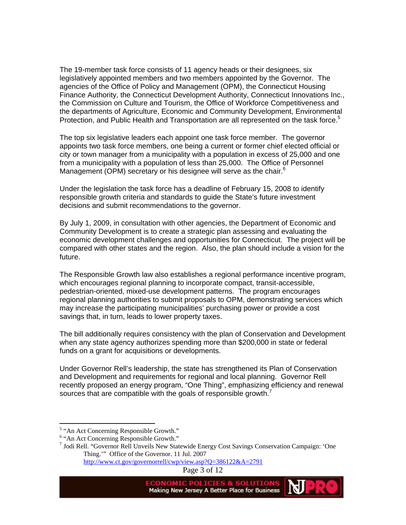The 19-member task force consists of 11 agency heads or their designees, six legislatively appointed members and two members appointed by the Governor. The agencies of the Office of Policy and Management (OPM), the Connecticut Housing Finance Authority, the Connecticut Development Authority, Connecticut Innovations Inc., the Commission on Culture and Tourism, the Office of Workforce Competitiveness and the departments of Agriculture, Economic and Community Development, Environmental Protection, and Public Health and Transportation are all represented on the task force.<sup>5</sup>

The top six legislative leaders each appoint one task force member. The governor appoints two task force members, one being a current or former chief elected official or city or town manager from a municipality with a population in excess of 25,000 and one from a municipality with a population of less than 25,000. The Office of Personnel Management (OPM) secretary or his designee will serve as the chair. $6$ 

Under the legislation the task force has a deadline of February 15, 2008 to identify responsible growth criteria and standards to guide the State's future investment decisions and submit recommendations to the governor.

By July 1, 2009, in consultation with other agencies, the Department of Economic and Community Development is to create a strategic plan assessing and evaluating the economic development challenges and opportunities for Connecticut. The project will be compared with other states and the region. Also, the plan should include a vision for the future.

The Responsible Growth law also establishes a regional performance incentive program, which encourages regional planning to incorporate compact, transit-accessible, pedestrian-oriented, mixed-use development patterns. The program encourages regional planning authorities to submit proposals to OPM, demonstrating services which may increase the participating municipalities' purchasing power or provide a cost savings that, in turn, leads to lower property taxes.

The bill additionally requires consistency with the plan of Conservation and Development when any state agency authorizes spending more than \$200,000 in state or federal funds on a grant for acquisitions or developments.

Under Governor Rell's leadership, the state has strengthened its Plan of Conservation and Development and requirements for regional and local planning. Governor Rell recently proposed an energy program, "One Thing", emphasizing efficiency and renewal sources that are compatible with the goals of responsible growth.<sup>7</sup>

 $\overline{a}$ 



<sup>&</sup>lt;sup>5</sup> "An Act Concerning Responsible Growth."

<sup>&</sup>lt;sup>6</sup> "An Act Concerning Responsible Growth."

<sup>7</sup> Jodi Rell. "Governor Rell Unveils New Statewide Energy Cost Savings Conservation Campaign: 'One Thing.'" Office of the Governor. 11 Jul. 2007

http://www.ct.gov/governorrell/cwp/view.asp?Q=386122&A=2791

Page 3 of 12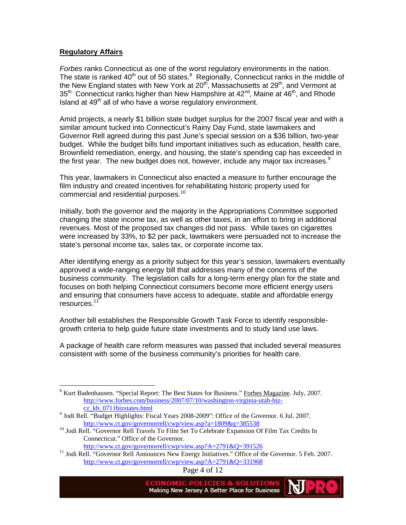#### **Regulatory Affairs**

 $\overline{a}$ 

*Forbes* ranks Connecticut as one of the worst regulatory environments in the nation. The state is ranked 40<sup>th</sup> out of 50 states.<sup>8</sup> Regionally, Connecticut ranks in the middle of the New England states with New York at  $20<sup>th</sup>$ , Massachusetts at  $29<sup>th</sup>$ , and Vermont at  $35<sup>th</sup>$ . Connecticut ranks higher than New Hampshire at  $42<sup>nd</sup>$ , Maine at  $46<sup>th</sup>$ , and Rhode Island at  $49<sup>th</sup>$  all of who have a worse regulatory environment.

Amid projects, a nearly \$1 billion state budget surplus for the 2007 fiscal year and with a similar amount tucked into Connecticut's Rainy Day Fund, state lawmakers and Governor Rell agreed during this past June's special session on a \$36 billion, two-year budget. While the budget bills fund important initiatives such as education, health care, Brownfield remediation, energy, and housing, the state's spending cap has exceeded in the first year. The new budget does not, however, include any major tax increases. $9$ 

This year, lawmakers in Connecticut also enacted a measure to further encourage the film industry and created incentives for rehabilitating historic property used for commercial and residential purposes.<sup>10</sup>

Initially, both the governor and the majority in the Appropriations Committee supported changing the state income tax, as well as other taxes, in an effort to bring in additional revenues. Most of the proposed tax changes did not pass. While taxes on cigarettes were increased by 33%, to \$2 per pack, lawmakers were persuaded not to increase the state's personal income tax, sales tax, or corporate income tax.

After identifying energy as a priority subject for this year's session, lawmakers eventually approved a wide-ranging energy bill that addresses many of the concerns of the business community. The legislation calls for a long-term energy plan for the state and focuses on both helping Connecticut consumers become more efficient energy users and ensuring that consumers have access to adequate, stable and affordable energy resources.<sup>11</sup>

Another bill establishes the Responsible Growth Task Force to identify responsiblegrowth criteria to help guide future state investments and to study land use laws.

A package of health care reform measures was passed that included several measures consistent with some of the business community's priorities for health care.

http://www.ct.gov/governorrell/cwp/view.asp?A=2791&Q=391526<br><sup>11</sup> Jodi Rell. "Governor Rell Announces New Energy Initiatives." Office of the Governor. 5 Feb. 2007. http://www.ct.gov/governorrell/cwp/view.asp?A=2791&Q=331968

Page 4 of 12

<sup>&</sup>lt;sup>8</sup> Kurt Badenhausen. "Special Report: The Best States for Business." Forbes Magazine. July, 2007. http://www.forbes.com/business/2007/07/10/washington-virginia-utah-bizcz\_kb\_0711bizstates.html <sup>9</sup>

 $9$  Jodi Rell. "Budget Highlights: Fiscal Years 2008-2009": Office of the Governor. 6 Jul. 2007. http://www.ct.gov/governorrell/cwp/view.asp?a=1809&q=385538<br><sup>10</sup> Jodi Rell. "Governor Rell Travels To Film Set To Celebrate Expansion Of Film Tax Credits In

Connecticut." Office of the Governor.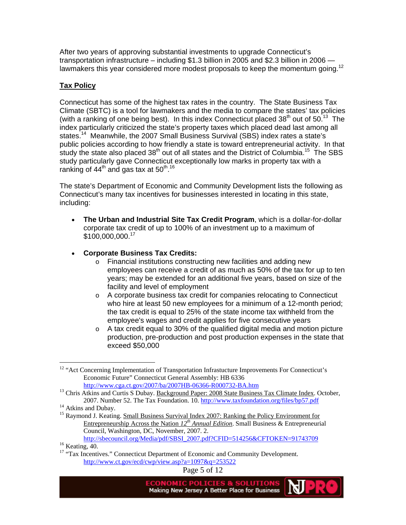After two years of approving substantial investments to upgrade Connecticut's transportation infrastructure – including \$1.3 billion in 2005 and \$2.3 billion in 2006 lawmakers this year considered more modest proposals to keep the momentum going.<sup>12</sup>

# **Tax Policy**

Connecticut has some of the highest tax rates in the country. The State Business Tax Climate (SBTC) is a tool for lawmakers and the media to compare the states' tax policies (with a ranking of one being best). In this index Connecticut placed  $38<sup>th</sup>$  out of 50.<sup>13</sup> The index particularly criticized the state's property taxes which placed dead last among all states.<sup>14</sup> Meanwhile, the 2007 Small Business Survival (SBS) index rates a state's public policies according to how friendly a state is toward entrepreneurial activity. In that study the state also placed  $38<sup>th</sup>$  out of all states and the District of Columbia.<sup>15</sup> The SBS study particularly gave Connecticut exceptionally low marks in property tax with a ranking of 44<sup>th</sup> and gas tax at 50<sup>th 16</sup>

The state's Department of Economic and Community Development lists the following as Connecticut's many tax incentives for businesses interested in locating in this state, including:

- **The Urban and Industrial Site Tax Credit Program**, which is a dollar-for-dollar corporate tax credit of up to 100% of an investment up to a maximum of \$100,000,000.<sup>17</sup>
- **Corporate Business Tax Credits:** 
	- o Financial institutions constructing new facilities and adding new employees can receive a credit of as much as 50% of the tax for up to ten years; may be extended for an additional five years, based on size of the facility and level of employment
	- o A corporate business tax credit for companies relocating to Connecticut who hire at least 50 new employees for a minimum of a 12-month period; the tax credit is equal to 25% of the state income tax withheld from the employee's wages and credit applies for five consecutive years
	- o A tax credit equal to 30% of the qualified digital media and motion picture production, pre-production and post production expenses in the state that exceed \$50,000

http://sbecouncil.org/Media/pdf/SBSI\_2007.pdf?CFID=514256&CFTOKEN=91743709<br><sup>16</sup> Keating, 40.

Page 5 of 12

 $\overline{a}$ <sup>12</sup> "Act Concerning Implementation of Transportation Infrastucture Improvements For Connecticut's Economic Future" Connecticut General Assembly: HB 6336

http://www.cga.ct.gov/2007/ba/2007HB-06366-R000732-BA.htm <sup>13</sup> Chris Atkins and Curtis S Dubay. <u>Background Paper: 2008 State Business Tax Climate Index</u>. October, 2007. Number 52. The Tax Foundation. 10. http://www.taxfoundation.org/files/bp57.pdf 14 Atkins and Dubay.

<sup>&</sup>lt;sup>15</sup> Raymond J. Keating. Small Business Survival Index 2007: Ranking the Policy Environment for Entrepreneurship Across the Nation *12th Annual Edition*. Small Business & Entrepreneurial Council, Washington, DC, November, 2007. 2.

<sup>&</sup>lt;sup>17</sup> "Tax Incentives." Connecticut Department of Economic and Community Development. http://www.ct.gov/ecd/cwp/view.asp?a=1097&q=253522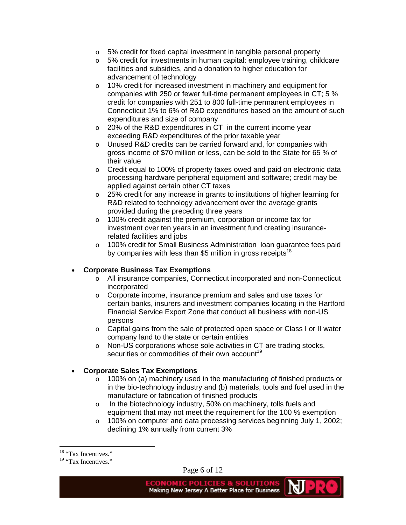- o 5% credit for fixed capital investment in tangible personal property
- o 5% credit for investments in human capital: employee training, childcare facilities and subsidies, and a donation to higher education for advancement of technology
- o 10% credit for increased investment in machinery and equipment for companies with 250 or fewer full-time permanent employees in CT; 5 % credit for companies with 251 to 800 full-time permanent employees in Connecticut 1% to 6% of R&D expenditures based on the amount of such expenditures and size of company
- o 20% of the R&D expenditures in CT in the current income year exceeding R&D expenditures of the prior taxable year
- o Unused R&D credits can be carried forward and, for companies with gross income of \$70 million or less, can be sold to the State for 65 % of their value
- $\circ$  Credit equal to 100% of property taxes owed and paid on electronic data processing hardware peripheral equipment and software; credit may be applied against certain other CT taxes
- o 25% credit for any increase in grants to institutions of higher learning for R&D related to technology advancement over the average grants provided during the preceding three years
- o 100% credit against the premium, corporation or income tax for investment over ten years in an investment fund creating insurancerelated facilities and jobs
- o 100% credit for Small Business Administration loan guarantee fees paid by companies with less than \$5 million in gross receipts<sup>18</sup>

# • **Corporate Business Tax Exemptions**

- o All insurance companies, Connecticut incorporated and non-Connecticut incorporated
- o Corporate income, insurance premium and sales and use taxes for certain banks, insurers and investment companies locating in the Hartford Financial Service Export Zone that conduct all business with non-US persons
- o Capital gains from the sale of protected open space or Class I or II water company land to the state or certain entities
- o Non-US corporations whose sole activities in CT are trading stocks, securities or commodities of their own account<sup>19</sup>

# • **Corporate Sales Tax Exemptions**

- o 100% on (a) machinery used in the manufacturing of finished products or in the bio-technology industry and (b) materials, tools and fuel used in the manufacture or fabrication of finished products
- o In the biotechnology industry, 50% on machinery, tolls fuels and equipment that may not meet the requirement for the 100 % exemption
- o 100% on computer and data processing services beginning July 1, 2002; declining 1% annually from current 3%

 $\overline{a}$ 

Page 6 of 12

ΜJ

<sup>&</sup>lt;sup>18</sup> "Tax Incentives."

<sup>&</sup>lt;sup>19</sup> "Tax Incentives."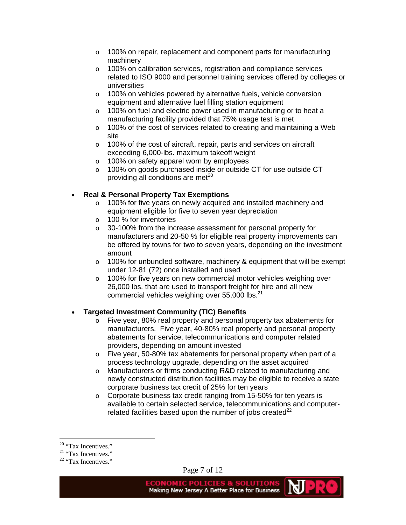- o 100% on repair, replacement and component parts for manufacturing machinery
- o 100% on calibration services, registration and compliance services related to ISO 9000 and personnel training services offered by colleges or universities
- o 100% on vehicles powered by alternative fuels, vehicle conversion equipment and alternative fuel filling station equipment
- o 100% on fuel and electric power used in manufacturing or to heat a manufacturing facility provided that 75% usage test is met
- o 100% of the cost of services related to creating and maintaining a Web site
- o 100% of the cost of aircraft, repair, parts and services on aircraft exceeding 6,000-lbs. maximum takeoff weight
- o 100% on safety apparel worn by employees
- o 100% on goods purchased inside or outside CT for use outside CT providing all conditions are met $^{20}$

# • **Real & Personal Property Tax Exemptions**

- o 100% for five years on newly acquired and installed machinery and equipment eligible for five to seven year depreciation
- o 100 % for inventories
- o 30-100% from the increase assessment for personal property for manufacturers and 20-50 % for eligible real property improvements can be offered by towns for two to seven years, depending on the investment amount
- $\circ$  100% for unbundled software, machinery & equipment that will be exempt under 12-81 (72) once installed and used
- o 100% for five years on new commercial motor vehicles weighing over 26,000 lbs. that are used to transport freight for hire and all new commercial vehicles weighing over 55,000 lbs.<sup>21</sup>

### • **Targeted Investment Community (TIC) Benefits**

- $\circ$  Five year, 80% real property and personal property tax abatements for manufacturers. Five year, 40-80% real property and personal property abatements for service, telecommunications and computer related providers, depending on amount invested
- o Five year, 50-80% tax abatements for personal property when part of a process technology upgrade, depending on the asset acquired
- o Manufacturers or firms conducting R&D related to manufacturing and newly constructed distribution facilities may be eligible to receive a state corporate business tax credit of 25% for ten years
- o Corporate business tax credit ranging from 15-50% for ten years is available to certain selected service, telecommunications and computerrelated facilities based upon the number of jobs created $^{22}$

 $\overline{a}$ 

Page 7 of 12

Making New Jersey A Better Place for Business

NJ -

<sup>&</sup>lt;sup>20</sup> "Tax Incentives."

<sup>&</sup>lt;sup>21</sup> "Tax Incentives."

<sup>&</sup>lt;sup>22</sup> "Tax Incentives."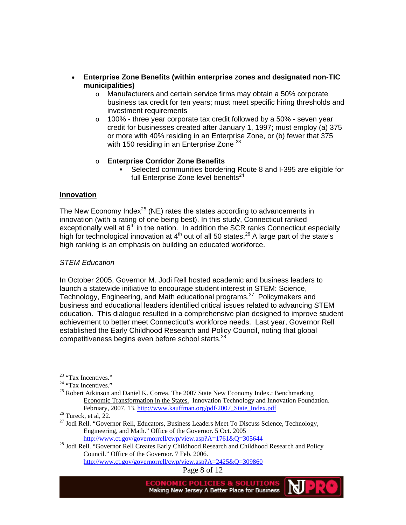- **Enterprise Zone Benefits (within enterprise zones and designated non-TIC municipalities)** 
	- o Manufacturers and certain service firms may obtain a 50% corporate business tax credit for ten years; must meet specific hiring thresholds and investment requirements
	- o 100% three year corporate tax credit followed by a 50% seven year credit for businesses created after January 1, 1997; must employ (a) 375 or more with 40% residing in an Enterprise Zone, or (b) fewer that 375 with 150 residing in an Enterprise Zone<sup>23</sup>
	- o **Enterprise Corridor Zone Benefits**
		- Selected communities bordering Route 8 and I-395 are eligible for full Enterprise Zone level benefits $24$

### **Innovation**

The New Economy Index<sup>25</sup> (NE) rates the states according to advancements in innovation (with a rating of one being best). In this study, Connecticut ranked exceptionally well at  $6<sup>th</sup>$  in the nation. In addition the SCR ranks Connecticut especially high for technological innovation at  $4<sup>th</sup>$  out of all 50 states.<sup>26</sup> A large part of the state's high ranking is an emphasis on building an educated workforce.

### *STEM Education*

In October 2005, Governor M. Jodi Rell hosted academic and business leaders to launch a statewide initiative to encourage student interest in STEM: Science, Technology, Engineering, and Math educational programs.<sup>27</sup> Policymakers and business and educational leaders identified critical issues related to advancing STEM education. This dialogue resulted in a comprehensive plan designed to improve student achievement to better meet Connecticut's workforce needs. Last year, Governor Rell established the Early Childhood Research and Policy Council, noting that global competitiveness begins even before school starts.<sup>28</sup>

 $\overline{a}$ 

<sup>28</sup> Jodi Rell. "Governor Rell Creates Early Childhood Research and Childhood Research and Policy Council." Office of the Governor. 7 Feb. 2006. http://www.ct.gov/governorrell/cwp/view.asp?A=2425&Q=309860

Page 8 of 12

<sup>&</sup>lt;sup>23</sup> "Tax Incentives."

<sup>&</sup>lt;sup>24</sup> "Tax Incentives."

<sup>&</sup>lt;sup>25</sup> Robert Atkinson and Daniel K. Correa. The  $2007$  State New Economy Index.: Benchmarking Economic Transformation in the States. Innovation Technology and Innovation Foundation. February, 2007. 13. http://www.kauffman.org/pdf/2007\_State\_Index.pdf<sup>26</sup> Tureck, et al, 22.

<sup>&</sup>lt;sup>27</sup> Jodi Rell. "Governor Rell, Educators, Business Leaders Meet To Discuss Science, Technology, Engineering, and Math." Office of the Governor. 5 Oct. 2005<br>http://www.ct.gov/governorrell/cwp/view.asp?A=1761&Q=305644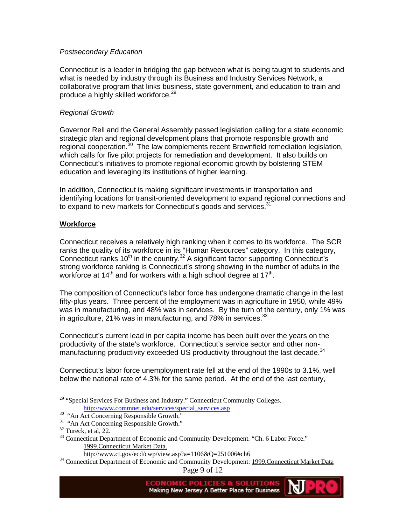#### *Postsecondary Education*

Connecticut is a leader in bridging the gap between what is being taught to students and what is needed by industry through its Business and Industry Services Network, a collaborative program that links business, state government, and education to train and produce a highly skilled workforce.<sup>29</sup>

#### *Regional Growth*

Governor Rell and the General Assembly passed legislation calling for a state economic strategic plan and regional development plans that promote responsible growth and regional cooperation.<sup>30</sup> The law complements recent Brownfield remediation legislation, which calls for five pilot projects for remediation and development. It also builds on Connecticut's initiatives to promote regional economic growth by bolstering STEM education and leveraging its institutions of higher learning.

In addition, Connecticut is making significant investments in transportation and identifying locations for transit-oriented development to expand regional connections and to expand to new markets for Connecticut's goods and services.<sup>31</sup>

### **Workforce**

Connecticut receives a relatively high ranking when it comes to its workforce. The SCR ranks the quality of its workforce in its "Human Resources" category. In this category, Connecticut ranks  $10<sup>th</sup>$  in the country.<sup>32</sup> A significant factor supporting Connecticut's strong workforce ranking is Connecticut's strong showing in the number of adults in the workforce at  $14<sup>th</sup>$  and for workers with a high school degree at  $17<sup>th</sup>$ .

The composition of Connecticut's labor force has undergone dramatic change in the last fifty-plus years. Three percent of the employment was in agriculture in 1950, while 49% was in manufacturing, and 48% was in services. By the turn of the century, only 1% was in agriculture, 21% was in manufacturing, and  $78\%$  in services.  $33$ 

Connecticut's current lead in per capita income has been built over the years on the productivity of the state's workforce. Connecticut's service sector and other nonmanufacturing productivity exceeded US productivity throughout the last decade.<sup>34</sup>

Connecticut's labor force unemployment rate fell at the end of the 1990s to 3.1%, well below the national rate of 4.3% for the same period. At the end of the last century,

 $\overline{a}$ 

<sup>&</sup>lt;sup>29</sup> "Special Services For Business and Industry." Connecticut Community Colleges. http://www.commnet.edu/services/special\_services.asp 30 "An Act Concerning Responsible Growth."

<sup>&</sup>lt;sup>31</sup> "An Act Concerning Responsible Growth."

 $32$  Tureck, et al, 22.

<sup>&</sup>lt;sup>33</sup> Connecticut Department of Economic and Community Development. "Ch. 6 Labor Force." 1999.Connecticut Market Data.

http://www.ct.gov/ecd/cwp/view.asp?a=1106&Q=251006#ch6<br><sup>34</sup> Connecticut Department of Economic and Community Development: <u>1999.Connecticut Market Data</u>

Page 9 of 12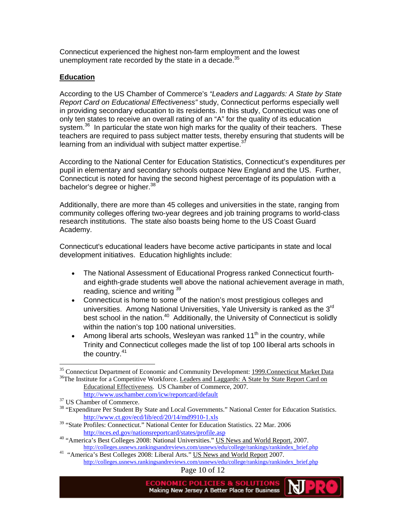Connecticut experienced the highest non-farm employment and the lowest unemployment rate recorded by the state in a decade. $35$ 

### **Education**

According to the US Chamber of Commerce's *"Leaders and Laggards: A State by State Report Card on Educational Effectiveness"* study, Connecticut performs especially well in providing secondary education to its residents. In this study, Connecticut was one of only ten states to receive an overall rating of an "A" for the quality of its education system.<sup>36</sup> In particular the state won high marks for the quality of their teachers. These teachers are required to pass subject matter tests, thereby ensuring that students will be learning from an individual with subject matter expertise.<sup>3</sup>

According to the National Center for Education Statistics, Connecticut's expenditures per pupil in elementary and secondary schools outpace New England and the US. Further, Connecticut is noted for having the second highest percentage of its population with a bachelor's degree or higher.<sup>38</sup>

Additionally, there are more than 45 colleges and universities in the state, ranging from community colleges offering two-year degrees and job training programs to world-class research institutions. The state also boasts being home to the US Coast Guard Academy.

Connecticut's educational leaders have become active participants in state and local development initiatives. Education highlights include:

- The National Assessment of Educational Progress ranked Connecticut fourthand eighth-grade students well above the national achievement average in math, reading, science and writing 39
- Connecticut is home to some of the nation's most prestigious colleges and universities. Among National Universities, Yale University is ranked as the 3rd best school in the nation.<sup>40</sup> Additionally, the University of Connecticut is solidly within the nation's top 100 national universities.
- Among liberal arts schools, Wesleyan was ranked  $11<sup>th</sup>$  in the country, while Trinity and Connecticut colleges made the list of top 100 liberal arts schools in the country.<sup>41</sup>

Page 10 of 12

 $\overline{a}$ <sup>35</sup> Connecticut Department of Economic and Community Development: **1999.Connecticut Market Data** <sup>36</sup>The Institute for a Competitive Workforce. Leaders and Laggards: A State by State Report Card on

Educational Effectiveness. US Chamber of Commerce, 2007. http://www.uschamber.com/icw/reportcard/default <sup>37</sup> US Chamber of Commerce.

<sup>&</sup>lt;sup>38</sup> "Expenditure Per Student By State and Local Governments." National Center for Education Statistics.<br>http://www.ct.gov/ecd/lib/ecd/20/14/md9910-1.xls

<sup>&</sup>lt;sup>39</sup> "State Profiles: Connecticut." National Center for Education Statistics. 22 Mar. 2006

http://nces.ed.gov/nationsreportcard/states/profile.asp<br>
<sup>40</sup> "America's Best Colleges 2008: National Universities." US News and World Report. 2007.<br>
http://colleges.usnews.rankingsandreviews.com/usnews/edu/college/ranking

<sup>&</sup>lt;sup>41</sup> "America's Best Colleges 2008: Liberal Arts." US News and World Report 2007. http://colleges.usnews.rankingsandreviews.com/usnews/edu/college/rankings/rankindex\_brief.php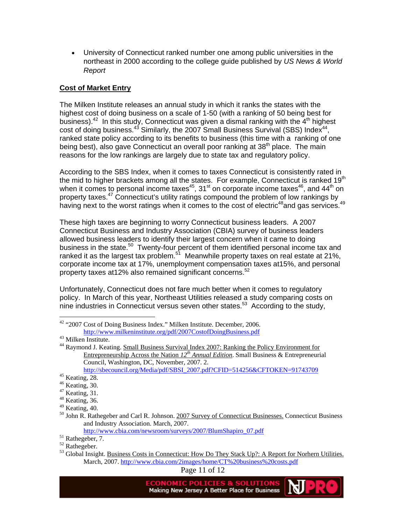• University of Connecticut ranked number one among public universities in the northeast in 2000 according to the college guide published by *US News & World Report*

#### **Cost of Market Entry**

The Milken Institute releases an annual study in which it ranks the states with the highest cost of doing business on a scale of 1-50 (with a ranking of 50 being best for business).<sup>42</sup> In this study, Connecticut was given a dismal ranking with the  $4<sup>th</sup>$  highest cost of doing business.<sup>43</sup> Similarly, the 2007 Small Business Survival (SBS) Index<sup>44</sup>, ranked state policy according to its benefits to business (this time with a ranking of one being best), also gave Connecticut an overall poor ranking at 38<sup>th</sup> place. The main reasons for the low rankings are largely due to state tax and regulatory policy.

According to the SBS Index, when it comes to taxes Connecticut is consistently rated in the mid to higher brackets among all the states. For example, Connecticut is ranked 19<sup>th</sup> when it comes to personal income taxes<sup>45</sup>, 31<sup>st</sup> on corporate income taxes<sup>46</sup>, and 44<sup>th</sup> on property taxes.<sup>47</sup> Connecticut's utility ratings compound the problem of low rankings by having next to the worst ratings when it comes to the cost of electric<sup>48</sup>and gas services.<sup>49</sup>

These high taxes are beginning to worry Connecticut business leaders. A 2007 Connecticut Business and Industry Association (CBIA) survey of business leaders allowed business leaders to identify their largest concern when it came to doing business in the state.<sup>50</sup> Twenty-four percent of them identified personal income tax and ranked it as the largest tax problem.<sup>51</sup> Meanwhile property taxes on real estate at 21%, corporate income tax at 17%, unemployment compensation taxes at15%, and personal property taxes at12% also remained significant concerns.<sup>52</sup>

Unfortunately, Connecticut does not fare much better when it comes to regulatory policy. In March of this year, Northeast Utilities released a study comparing costs on nine industries in Connecticut versus seven other states.<sup>53</sup> According to the study,

 $\overline{a}$ 

http://www.cbia.com/newsroom/surveys/2007/BlumShapiro\_07.pdf 51 Rathegeber, 7.

Page 11 of 12

Making New Jersey A Better Place for Business

<sup>&</sup>lt;sup>42</sup> "2007 Cost of Doing Business Index." Milken Institute. December, 2006. http://www.milkeninstitute.org/pdf/2007CostofDoingBusiness.pdf 43 Milken Institute.

<sup>&</sup>lt;sup>44</sup> Raymond J. Keating. Small Business Survival Index 2007: Ranking the Policy Environment for Entrepreneurship Across the Nation *12th Annual Edition*. Small Business & Entrepreneurial Council, Washington, DC, November, 2007. 2. http://sbecouncil.org/Media/pdf/SBSI\_2007.pdf?CFID=514256&CFTOKEN=91743709 45 Keating, 28.

 $46$  Keating, 30.

 $47$  Keating, 31.

 $48$  Keating, 36.

 $49$  Keating, 40.

<sup>&</sup>lt;sup>50</sup> John R. Rathegeber and Carl R. Johnson. 2007 Survey of Connecticut Businesses. Connecticut Business and Industry Association. March, 2007.

<sup>52</sup> Rathegeber.

 $53$  Global Insight. Business Costs in Connecticut: How Do They Stack Up?: A Report for Norhern Utilities. March, 2007. http://www.cbia.com/2images/home/CT%20business%20costs.pdf